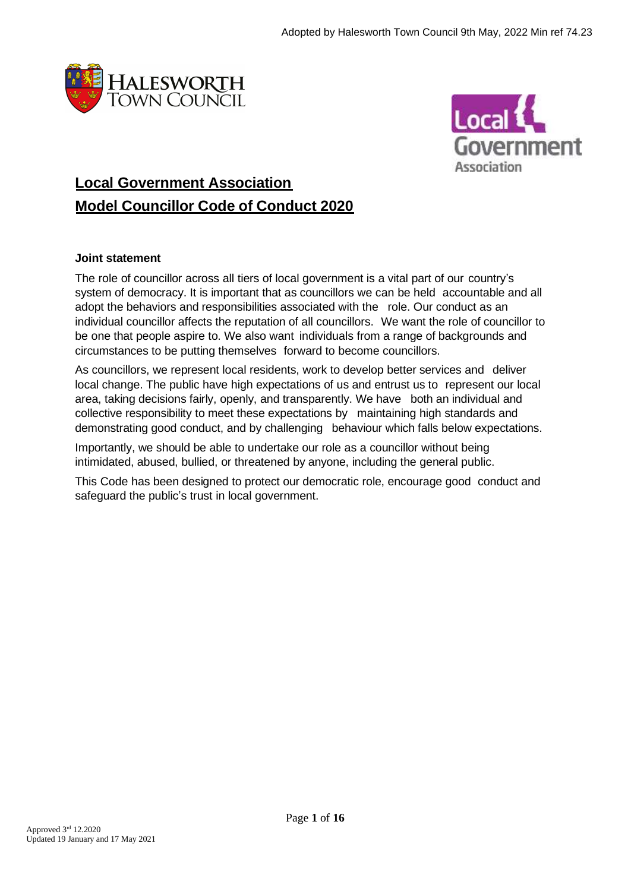



# **Local Government Association Model Councillor Code of Conduct 2020**

# **Joint statement**

The role of councillor across all tiers of local government is a vital part of our country's system of democracy. It is important that as councillors we can be held accountable and all adopt the behaviors and responsibilities associated with the role. Our conduct as an individual councillor affects the reputation of all councillors. We want the role of councillor to be one that people aspire to. We also want individuals from a range of backgrounds and circumstances to be putting themselves forward to become councillors.

As councillors, we represent local residents, work to develop better services and deliver local change. The public have high expectations of us and entrust us to represent our local area, taking decisions fairly, openly, and transparently. We have both an individual and collective responsibility to meet these expectations by maintaining high standards and demonstrating good conduct, and by challenging behaviour which falls below expectations.

Importantly, we should be able to undertake our role as a councillor without being intimidated, abused, bullied, or threatened by anyone, including the general public.

This Code has been designed to protect our democratic role, encourage good conduct and safeguard the public's trust in local government.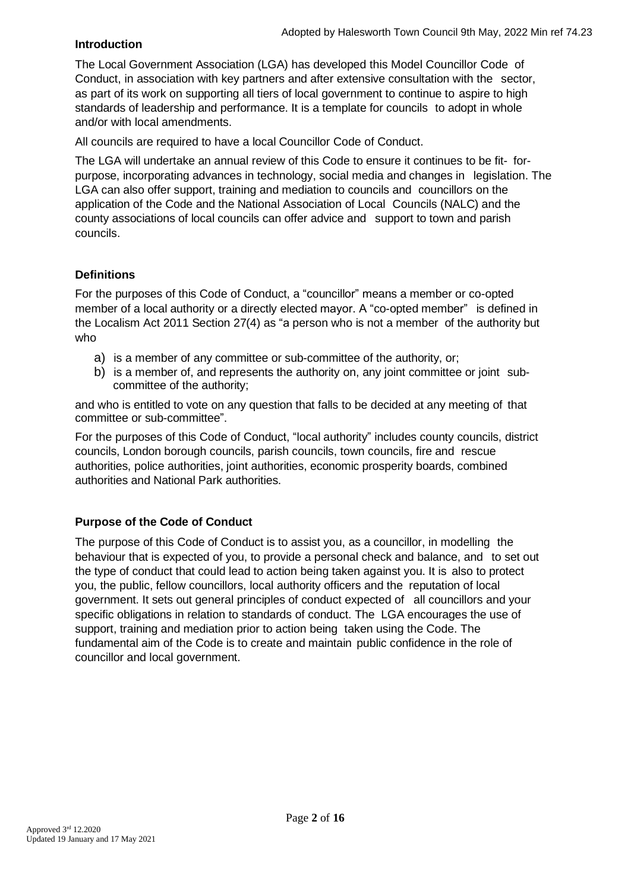# **Introduction**

The Local Government Association (LGA) has developed this Model Councillor Code of Conduct, in association with key partners and after extensive consultation with the sector, as part of its work on supporting all tiers of local government to continue to aspire to high standards of leadership and performance. It is a template for councils to adopt in whole and/or with local amendments.

All councils are required to have a local Councillor Code of Conduct.

The LGA will undertake an annual review of this Code to ensure it continues to be fit- forpurpose, incorporating advances in technology, social media and changes in legislation. The LGA can also offer support, training and mediation to councils and councillors on the application of the Code and the National Association of Local Councils (NALC) and the county associations of local councils can offer advice and support to town and parish councils.

# **Definitions**

For the purposes of this Code of Conduct, a "councillor" means a member or co-opted member of a local authority or a directly elected mayor. A "co-opted member" is defined in the Localism Act 2011 Section 27(4) as "a person who is not a member of the authority but who

- a) is a member of any committee or sub-committee of the authority, or;
- b) is a member of, and represents the authority on, any joint committee or joint subcommittee of the authority;

and who is entitled to vote on any question that falls to be decided at any meeting of that committee or sub-committee".

For the purposes of this Code of Conduct, "local authority" includes county councils, district councils, London borough councils, parish councils, town councils, fire and rescue authorities, police authorities, joint authorities, economic prosperity boards, combined authorities and National Park authorities.

# **Purpose of the Code of Conduct**

The purpose of this Code of Conduct is to assist you, as a councillor, in modelling the behaviour that is expected of you, to provide a personal check and balance, and to set out the type of conduct that could lead to action being taken against you. It is also to protect you, the public, fellow councillors, local authority officers and the reputation of local government. It sets out general principles of conduct expected of all councillors and your specific obligations in relation to standards of conduct. The LGA encourages the use of support, training and mediation prior to action being taken using the Code. The fundamental aim of the Code is to create and maintain public confidence in the role of councillor and local government.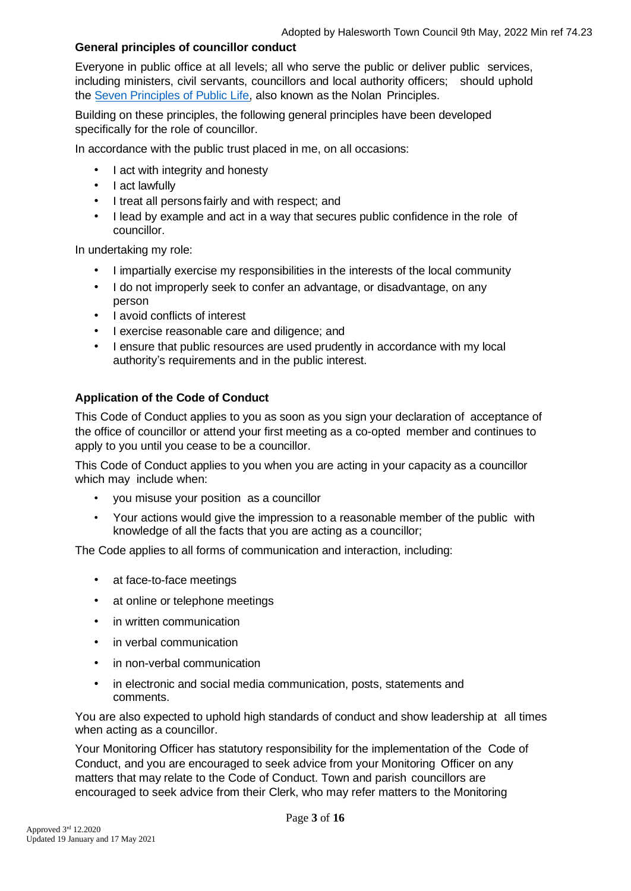#### **General principles of councillor conduct**

Everyone in public office at all levels; all who serve the public or deliver public services, including ministers, civil servants, councillors and local authority officers; should uphold the Seven [Principles of Public Life,](https://www.gov.uk/government/publications/the-7-principles-of-public-life/the-7-principles-of-public-life--2) also known as the Nolan Principles.

Building on these principles, the following general principles have been developed specifically for the role of councillor.

In accordance with the public trust placed in me, on all occasions:

- I act with integrity and honesty
- I act lawfully
- I treat all persons fairly and with respect; and
- I lead by example and act in a way that secures public confidence in the role of councillor.

In undertaking my role:

- I impartially exercise my responsibilities in the interests of the local community
- I do not improperly seek to confer an advantage, or disadvantage, on any person
- I avoid conflicts of interest
- I exercise reasonable care and diligence; and
- I ensure that public resources are used prudently in accordance with my local authority's requirements and in the public interest.

# **Application of the Code of Conduct**

This Code of Conduct applies to you as soon as you sign your declaration of acceptance of the office of councillor or attend your first meeting as a co-opted member and continues to apply to you until you cease to be a councillor.

This Code of Conduct applies to you when you are acting in your capacity as a councillor which may include when:

- you misuse your position as a councillor
- Your actions would give the impression to a reasonable member of the public with knowledge of all the facts that you are acting as a councillor;

The Code applies to all forms of communication and interaction, including:

- at face-to-face meetings
- at online or telephone meetings
- in written communication
- in verbal communication
- in non-verbal communication
- in electronic and social media communication, posts, statements and comments.

You are also expected to uphold high standards of conduct and show leadership at all times when acting as a councillor.

Your Monitoring Officer has statutory responsibility for the implementation of the Code of Conduct, and you are encouraged to seek advice from your Monitoring Officer on any matters that may relate to the Code of Conduct. Town and parish councillors are encouraged to seek advice from their Clerk, who may refer matters to the Monitoring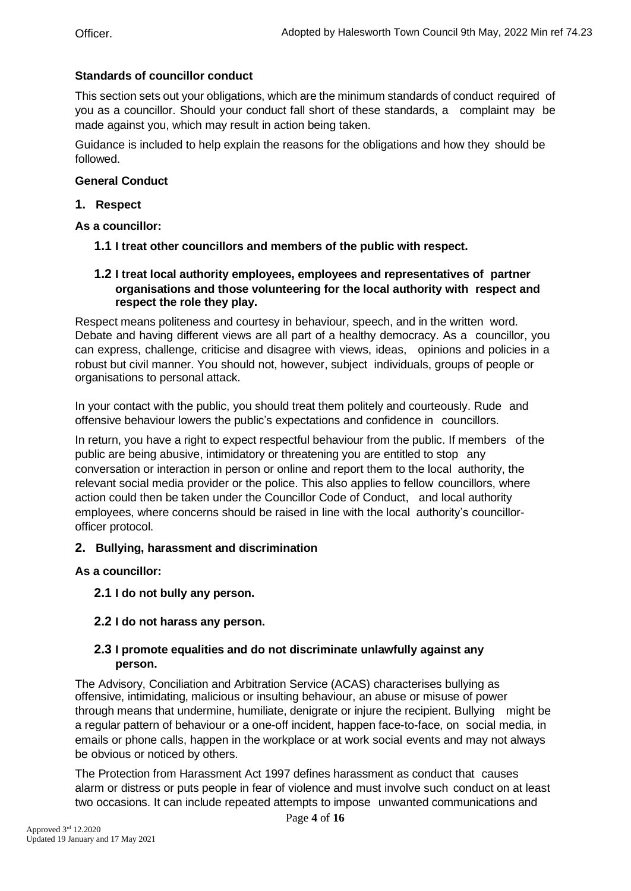# **Standards of councillor conduct**

This section sets out your obligations, which are the minimum standards of conduct required of you as a councillor. Should your conduct fall short of these standards, a complaint may be made against you, which may result in action being taken.

Guidance is included to help explain the reasons for the obligations and how they should be followed.

## **General Conduct**

## **1. Respect**

**As a councillor:**

- **1.1 I treat other councillors and members of the public with respect.**
- **1.2 I treat local authority employees, employees and representatives of partner organisations and those volunteering for the local authority with respect and respect the role they play.**

Respect means politeness and courtesy in behaviour, speech, and in the written word. Debate and having different views are all part of a healthy democracy. As a councillor, you can express, challenge, criticise and disagree with views, ideas, opinions and policies in a robust but civil manner. You should not, however, subject individuals, groups of people or organisations to personal attack.

In your contact with the public, you should treat them politely and courteously. Rude and offensive behaviour lowers the public's expectations and confidence in councillors.

In return, you have a right to expect respectful behaviour from the public. If members of the public are being abusive, intimidatory or threatening you are entitled to stop any conversation or interaction in person or online and report them to the local authority, the relevant social media provider or the police. This also applies to fellow councillors, where action could then be taken under the Councillor Code of Conduct, and local authority employees, where concerns should be raised in line with the local authority's councillorofficer protocol.

#### **2. Bullying, harassment and discrimination**

**As a councillor:**

**2.1 I do not bully any person.**

# **2.2 I do not harass any person.**

#### **2.3 I promote equalities and do not discriminate unlawfully against any person.**

The Advisory, Conciliation and Arbitration Service (ACAS) characterises bullying as offensive, intimidating, malicious or insulting behaviour, an abuse or misuse of power through means that undermine, humiliate, denigrate or injure the recipient. Bullying might be a regular pattern of behaviour or a one-off incident, happen face-to-face, on social media, in emails or phone calls, happen in the workplace or at work social events and may not always be obvious or noticed by others.

The Protection from Harassment Act 1997 defines harassment as conduct that causes alarm or distress or puts people in fear of violence and must involve such conduct on at least two occasions. It can include repeated attempts to impose unwanted communications and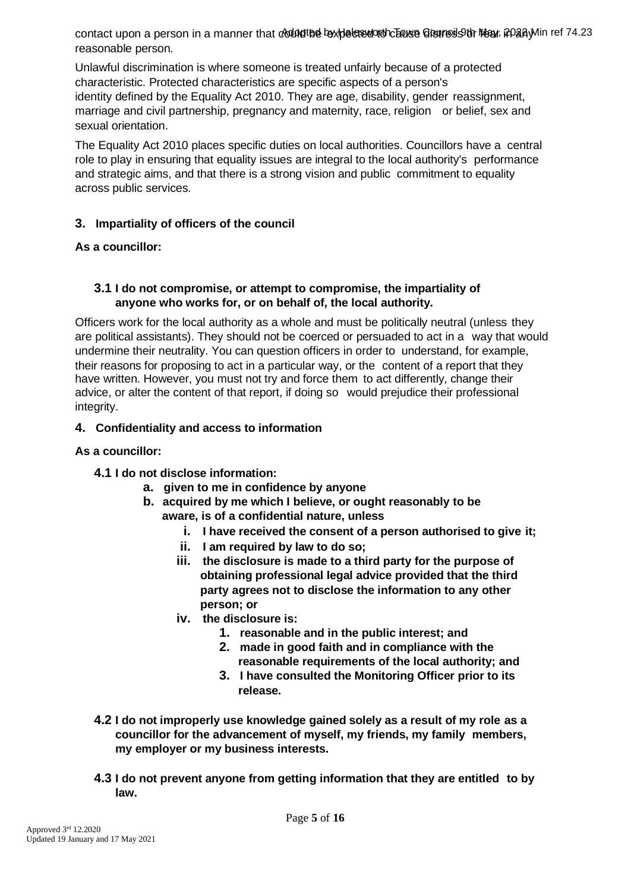contact upon a person in a manner that councited by pelere worth Enuse Greunes of Mear, PO any Min ref 74.23 reasonable person.

Unlawful discrimination is where someone is treated unfairly because of a protected characteristic. Protected characteristics are specific aspects of a person's identity defined by the Equality Act 2010. They are age, disability, gender reassignment, marriage and civil partnership, pregnancy and maternity, race, religion or belief, sex and sexual orientation.

The Equality Act 2010 places specific duties on local authorities. Councillors have a central role to play in ensuring that equality issues are integral to the local authority's performance and strategic aims, and that there is a strong vision and public commitment to equality across public services.

# **3. Impartiality of officers of the council**

# **As a councillor:**

# **3.1 I do not compromise, or attempt to compromise, the impartiality of anyone who works for, or on behalf of, the local authority.**

Officers work for the local authority as a whole and must be politically neutral (unless they are political assistants). They should not be coerced or persuaded to act in a way that would undermine their neutrality. You can question officers in order to understand, for example, their reasons for proposing to act in a particular way, or the content of a report that they have written. However, you must not try and force them to act differently, change their advice, or alter the content of that report, if doing so would prejudice their professional integrity.

# **4. Confidentiality and access to information**

# **As a councillor:**

# **4.1 I do not disclose information:**

- **a. given to me in confidence by anyone**
- **b. acquired by me which I believe, or ought reasonably to be aware, is of a confidential nature, unless**
	- **i. I have received the consent of a person authorised to give it;**
	- **ii. I am required by law to do so;**
	- **iii. the disclosure is made to a third party for the purpose of obtaining professional legal advice provided that the third party agrees not to disclose the information to any other person; or**
	- **iv. the disclosure is:**
		- **1. reasonable and in the public interest; and**
		- **2. made in good faith and in compliance with the reasonable requirements of the local authority; and**
		- **3. I have consulted the Monitoring Officer prior to its release.**
- **4.2 I do not improperly use knowledge gained solely as a result of my role as a councillor for the advancement of myself, my friends, my family members, my employer or my business interests.**
- **4.3 I do not prevent anyone from getting information that they are entitled to by law.**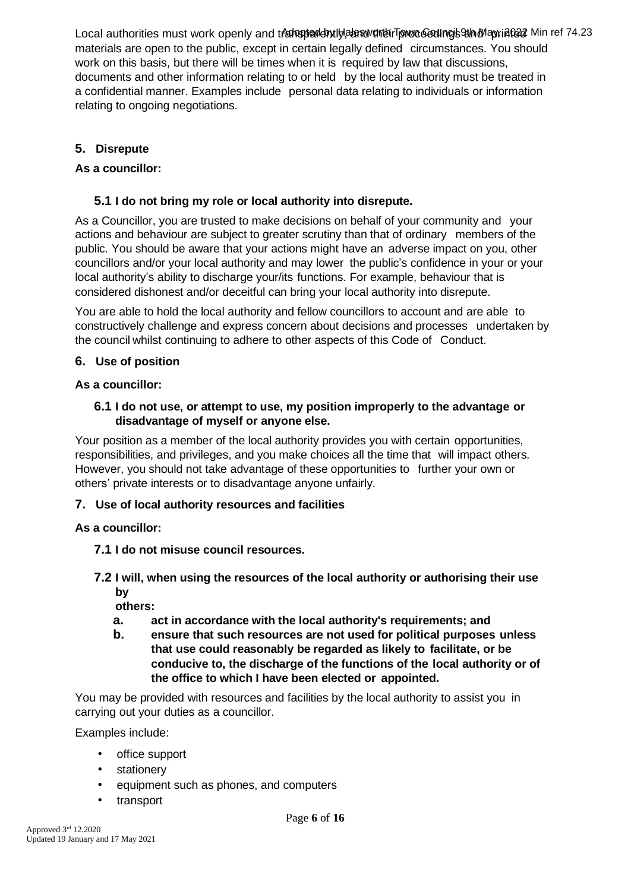Local authorities must work openly and transparently, an aware for book and project and project Min ref 74.23 materials are open to the public, except in certain legally defined circumstances. You should work on this basis, but there will be times when it is required by law that discussions, documents and other information relating to or held by the local authority must be treated in a confidential manner. Examples include personal data relating to individuals or information relating to ongoing negotiations.

# **5. Disrepute**

# **As a councillor:**

# **5.1 I do not bring my role or local authority into disrepute.**

As a Councillor, you are trusted to make decisions on behalf of your community and your actions and behaviour are subject to greater scrutiny than that of ordinary members of the public. You should be aware that your actions might have an adverse impact on you, other councillors and/or your local authority and may lower the public's confidence in your or your local authority's ability to discharge your/its functions. For example, behaviour that is considered dishonest and/or deceitful can bring your local authority into disrepute.

You are able to hold the local authority and fellow councillors to account and are able to constructively challenge and express concern about decisions and processes undertaken by the council whilst continuing to adhere to other aspects of this Code of Conduct.

# **6. Use of position**

# **As a councillor:**

# **6.1 I do not use, or attempt to use, my position improperly to the advantage or disadvantage of myself or anyone else.**

Your position as a member of the local authority provides you with certain opportunities, responsibilities, and privileges, and you make choices all the time that will impact others. However, you should not take advantage of these opportunities to further your own or others' private interests or to disadvantage anyone unfairly.

# **7. Use of local authority resources and facilities**

# **As a councillor:**

- **7.1 I do not misuse council resources.**
- **7.2 I will, when using the resources of the local authority or authorising their use by**

**others:**

- **a. act in accordance with the local authority's requirements; and**
- **b. ensure that such resources are not used for political purposes unless that use could reasonably be regarded as likely to facilitate, or be conducive to, the discharge of the functions of the local authority or of the office to which I have been elected or appointed.**

You may be provided with resources and facilities by the local authority to assist you in carrying out your duties as a councillor.

Examples include:

- office support
- stationery
- equipment such as phones, and computers
- transport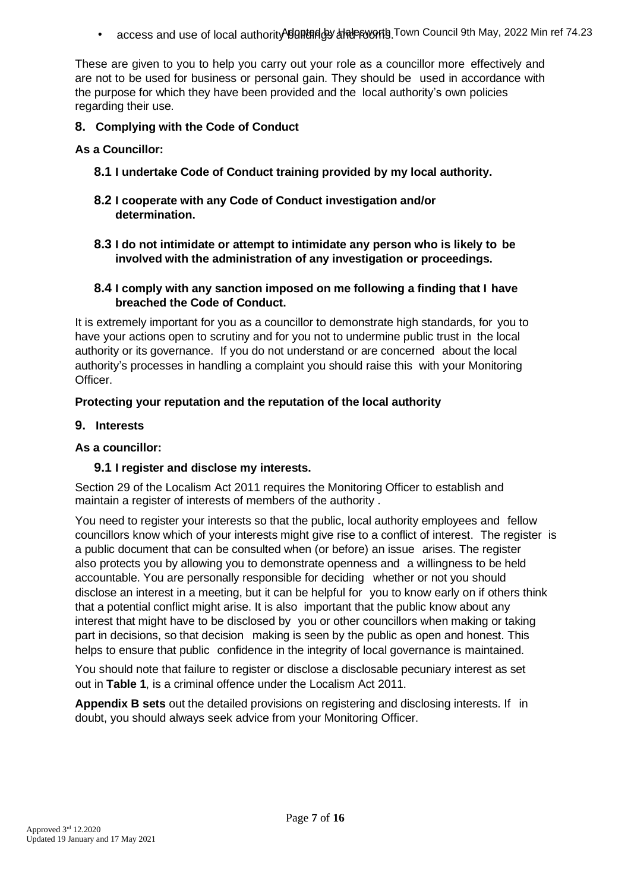• access and use of local authority 的邮钥的 计符号的符号Town Council 9th May, 2022 Min ref 74.23

These are given to you to help you carry out your role as a councillor more effectively and are not to be used for business or personal gain. They should be used in accordance with the purpose for which they have been provided and the local authority's own policies regarding their use.

# **8. Complying with the Code of Conduct**

**As a Councillor:**

- **8.1 I undertake Code of Conduct training provided by my local authority.**
- **8.2 I cooperate with any Code of Conduct investigation and/or determination.**
- **8.3 I do not intimidate or attempt to intimidate any person who is likely to be involved with the administration of any investigation or proceedings.**
- **8.4 I comply with any sanction imposed on me following a finding that I have breached the Code of Conduct.**

It is extremely important for you as a councillor to demonstrate high standards, for you to have your actions open to scrutiny and for you not to undermine public trust in the local authority or its governance. If you do not understand or are concerned about the local authority's processes in handling a complaint you should raise this with your Monitoring Officer.

# **Protecting your reputation and the reputation of the local authority**

#### **9. Interests**

## **As a councillor:**

#### **9.1 I register and disclose my interests.**

Section 29 of the Localism Act 2011 requires the Monitoring Officer to establish and maintain a register of interests of members of the authority .

You need to register your interests so that the public, local authority employees and fellow councillors know which of your interests might give rise to a conflict of interest. The register is a public document that can be consulted when (or before) an issue arises. The register also protects you by allowing you to demonstrate openness and a willingness to be held accountable. You are personally responsible for deciding whether or not you should disclose an interest in a meeting, but it can be helpful for you to know early on if others think that a potential conflict might arise. It is also important that the public know about any interest that might have to be disclosed by you or other councillors when making or taking part in decisions, so that decision making is seen by the public as open and honest. This helps to ensure that public confidence in the integrity of local governance is maintained.

You should note that failure to register or disclose a disclosable pecuniary interest as set out in **Table 1**, is a criminal offence under the Localism Act 2011.

**Appendix B sets** out the detailed provisions on registering and disclosing interests. If in doubt, you should always seek advice from your Monitoring Officer.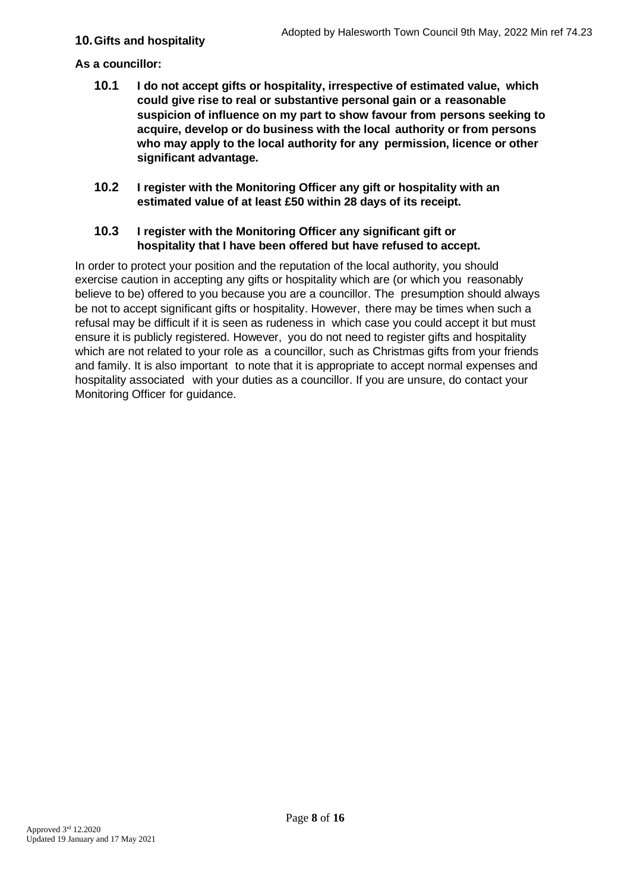# **10.Gifts and hospitality**

## **As a councillor:**

- **10.1 I do not accept gifts or hospitality, irrespective of estimated value, which could give rise to real or substantive personal gain or a reasonable suspicion of influence on my part to show favour from persons seeking to acquire, develop or do business with the local authority or from persons who may apply to the local authority for any permission, licence or other significant advantage.**
- **10.2 I register with the Monitoring Officer any gift or hospitality with an estimated value of at least £50 within 28 days of its receipt.**

## **10.3 I register with the Monitoring Officer any significant gift or hospitality that I have been offered but have refused to accept.**

In order to protect your position and the reputation of the local authority, you should exercise caution in accepting any gifts or hospitality which are (or which you reasonably believe to be) offered to you because you are a councillor. The presumption should always be not to accept significant gifts or hospitality. However, there may be times when such a refusal may be difficult if it is seen as rudeness in which case you could accept it but must ensure it is publicly registered. However, you do not need to register gifts and hospitality which are not related to your role as a councillor, such as Christmas gifts from your friends and family. It is also important to note that it is appropriate to accept normal expenses and hospitality associated with your duties as a councillor. If you are unsure, do contact your Monitoring Officer for guidance.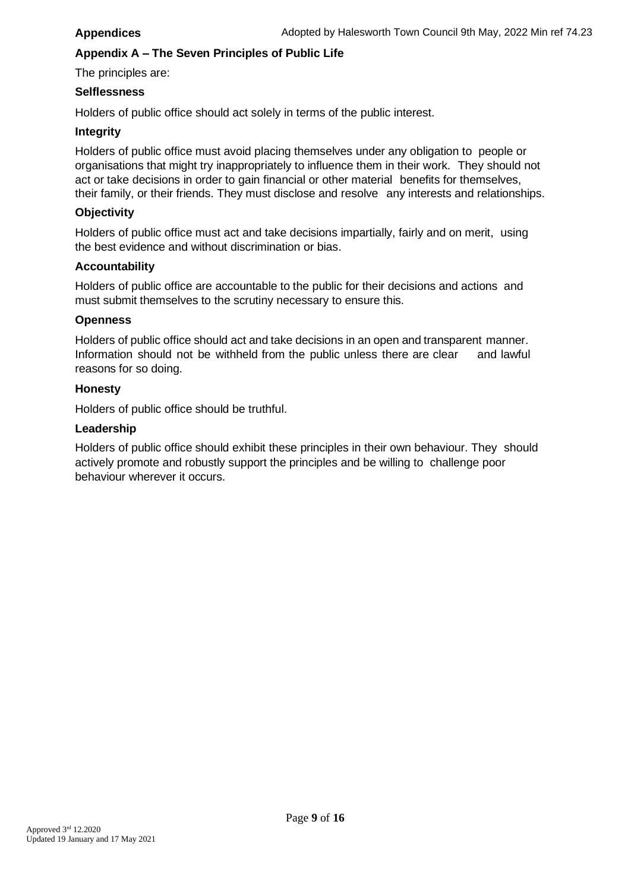#### **Appendices**

# **Appendix A – The Seven Principles of Public Life**

The principles are:

#### **Selflessness**

Holders of public office should act solely in terms of the public interest.

#### **Integrity**

Holders of public office must avoid placing themselves under any obligation to people or organisations that might try inappropriately to influence them in their work. They should not act or take decisions in order to gain financial or other material benefits for themselves, their family, or their friends. They must disclose and resolve any interests and relationships.

#### **Objectivity**

Holders of public office must act and take decisions impartially, fairly and on merit, using the best evidence and without discrimination or bias.

#### **Accountability**

Holders of public office are accountable to the public for their decisions and actions and must submit themselves to the scrutiny necessary to ensure this.

#### **Openness**

Holders of public office should act and take decisions in an open and transparent manner. Information should not be withheld from the public unless there are clear and lawful reasons for so doing.

#### **Honesty**

Holders of public office should be truthful.

#### **Leadership**

Holders of public office should exhibit these principles in their own behaviour. They should actively promote and robustly support the principles and be willing to challenge poor behaviour wherever it occurs.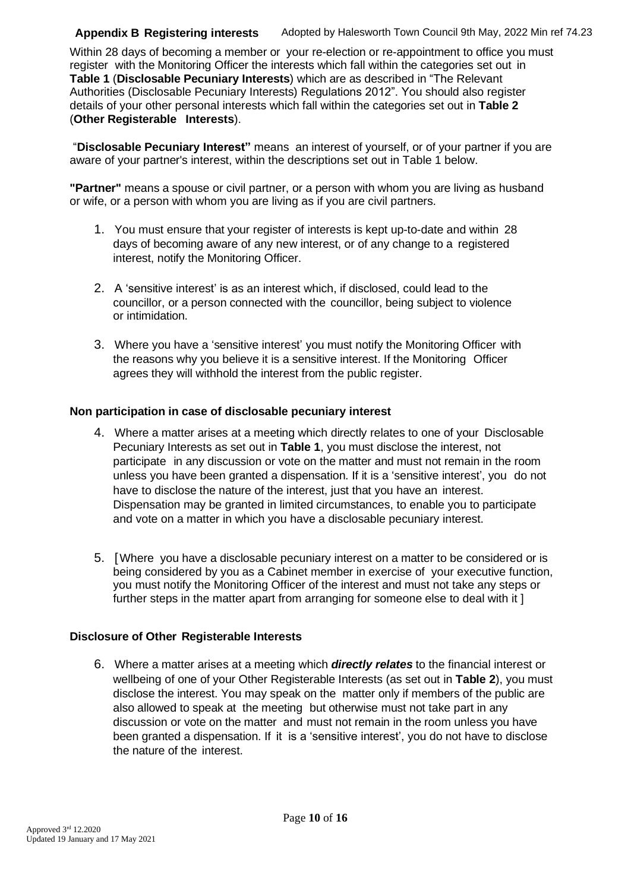#### **Appendix B Registering interests** Adopted by Halesworth Town Council 9th May, 2022 Min ref 74.23

Within 28 days of becoming a member or your re-election or re-appointment to office you must register with the Monitoring Officer the interests which fall within the categories set out in **Table 1** (**Disclosable Pecuniary Interests**) which are as described in "The Relevant Authorities (Disclosable Pecuniary Interests) Regulations 2012". You should also register details of your other personal interests which fall within the categories set out in **Table 2** (**Other Registerable Interests**).

"**Disclosable Pecuniary Interest"** means an interest of yourself, or of your partner if you are aware of your partner's interest, within the descriptions set out in Table 1 below.

**"Partner"** means a spouse or civil partner, or a person with whom you are living as husband or wife, or a person with whom you are living as if you are civil partners.

- 1. You must ensure that your register of interests is kept up-to-date and within 28 days of becoming aware of any new interest, or of any change to a registered interest, notify the Monitoring Officer.
- 2. A 'sensitive interest' is as an interest which, if disclosed, could lead to the councillor, or a person connected with the councillor, being subject to violence or intimidation.
- 3. Where you have a 'sensitive interest' you must notify the Monitoring Officer with the reasons why you believe it is a sensitive interest. If the Monitoring Officer agrees they will withhold the interest from the public register.

# **Non participation in case of disclosable pecuniary interest**

- 4. Where a matter arises at a meeting which directly relates to one of your Disclosable Pecuniary Interests as set out in **Table 1**, you must disclose the interest, not participate in any discussion or vote on the matter and must not remain in the room unless you have been granted a dispensation. If it is a 'sensitive interest', you do not have to disclose the nature of the interest, just that you have an interest. Dispensation may be granted in limited circumstances, to enable you to participate and vote on a matter in which you have a disclosable pecuniary interest.
- 5. [Where you have a disclosable pecuniary interest on a matter to be considered or is being considered by you as a Cabinet member in exercise of your executive function, you must notify the Monitoring Officer of the interest and must not take any steps or further steps in the matter apart from arranging for someone else to deal with it ]

#### **Disclosure of Other Registerable Interests**

6. Where a matter arises at a meeting which *directly relates* to the financial interest or wellbeing of one of your Other Registerable Interests (as set out in **Table 2**), you must disclose the interest. You may speak on the matter only if members of the public are also allowed to speak at the meeting but otherwise must not take part in any discussion or vote on the matter and must not remain in the room unless you have been granted a dispensation. If it is a 'sensitive interest', you do not have to disclose the nature of the interest.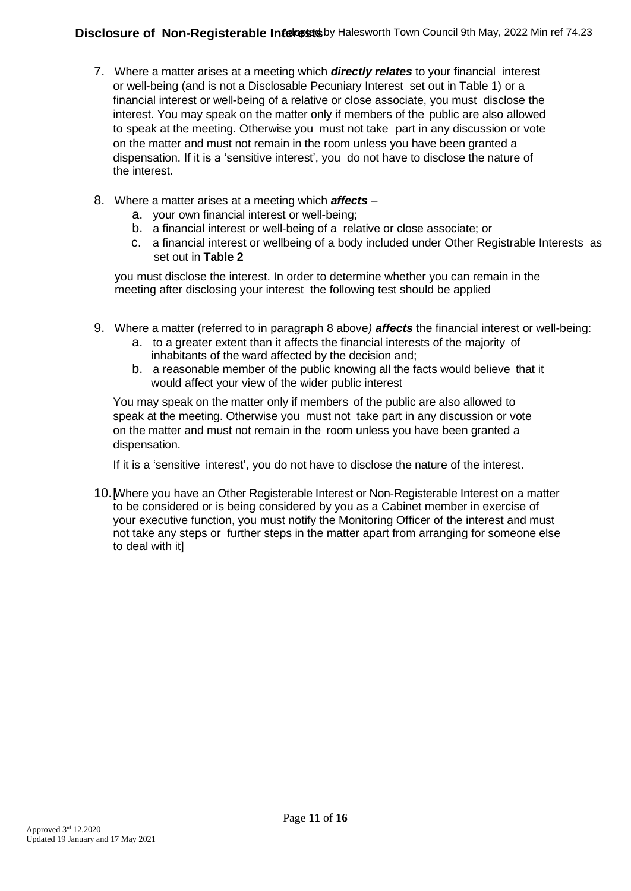- 7. Where a matter arises at a meeting which *directly relates* to your financial interest or well-being (and is not a Disclosable Pecuniary Interest set out in Table 1) or a financial interest or well-being of a relative or close associate, you must disclose the interest. You may speak on the matter only if members of the public are also allowed to speak at the meeting. Otherwise you must not take part in any discussion or vote on the matter and must not remain in the room unless you have been granted a dispensation. If it is a 'sensitive interest', you do not have to disclose the nature of the interest.
- 8. Where a matter arises at a meeting which *affects*
	- a. your own financial interest or well-being;
	- b. a financial interest or well-being of a relative or close associate; or
	- c. a financial interest or wellbeing of a body included under Other Registrable Interests as set out in **Table 2**

you must disclose the interest. In order to determine whether you can remain in the meeting after disclosing your interest the following test should be applied

- 9. Where a matter (referred to in paragraph 8 above*) affects* the financial interest or well-being:
	- a. to a greater extent than it affects the financial interests of the majority of inhabitants of the ward affected by the decision and;
	- b. a reasonable member of the public knowing all the facts would believe that it would affect your view of the wider public interest

You may speak on the matter only if members of the public are also allowed to speak at the meeting. Otherwise you must not take part in any discussion or vote on the matter and must not remain in the room unless you have been granted a dispensation.

If it is a 'sensitive interest', you do not have to disclose the nature of the interest.

10.[Where you have an Other Registerable Interest or Non-Registerable Interest on a matter to be considered or is being considered by you as a Cabinet member in exercise of your executive function, you must notify the Monitoring Officer of the interest and must not take any steps or further steps in the matter apart from arranging for someone else to deal with it]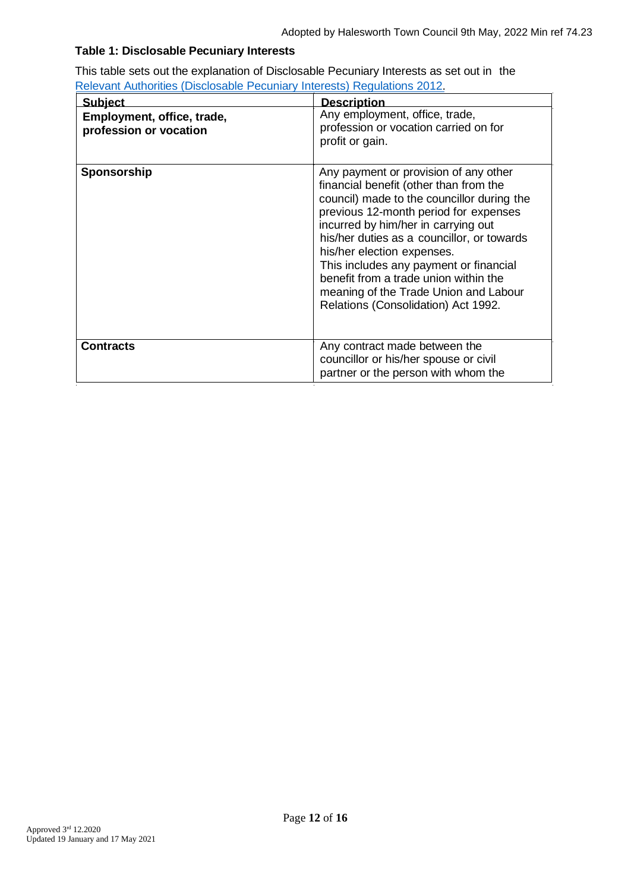# **Table 1: Disclosable Pecuniary Interests**

This table sets out the explanation of Disclosable Pecuniary Interests as set out in the Relevant Authorities [\(Disclosable Pecuniary Interests\) Regulations](https://www.legislation.gov.uk/uksi/2012/1464/made) 2012.

| <b>Subject</b>                                       | <b>Description</b>                                                                                                                                                                                                                                                                                                                                                                                                                                           |
|------------------------------------------------------|--------------------------------------------------------------------------------------------------------------------------------------------------------------------------------------------------------------------------------------------------------------------------------------------------------------------------------------------------------------------------------------------------------------------------------------------------------------|
| Employment, office, trade,<br>profession or vocation | Any employment, office, trade,<br>profession or vocation carried on for<br>profit or gain.                                                                                                                                                                                                                                                                                                                                                                   |
| Sponsorship                                          | Any payment or provision of any other<br>financial benefit (other than from the<br>council) made to the councillor during the<br>previous 12-month period for expenses<br>incurred by him/her in carrying out<br>his/her duties as a councillor, or towards<br>his/her election expenses.<br>This includes any payment or financial<br>benefit from a trade union within the<br>meaning of the Trade Union and Labour<br>Relations (Consolidation) Act 1992. |
| <b>Contracts</b>                                     | Any contract made between the<br>councillor or his/her spouse or civil<br>partner or the person with whom the                                                                                                                                                                                                                                                                                                                                                |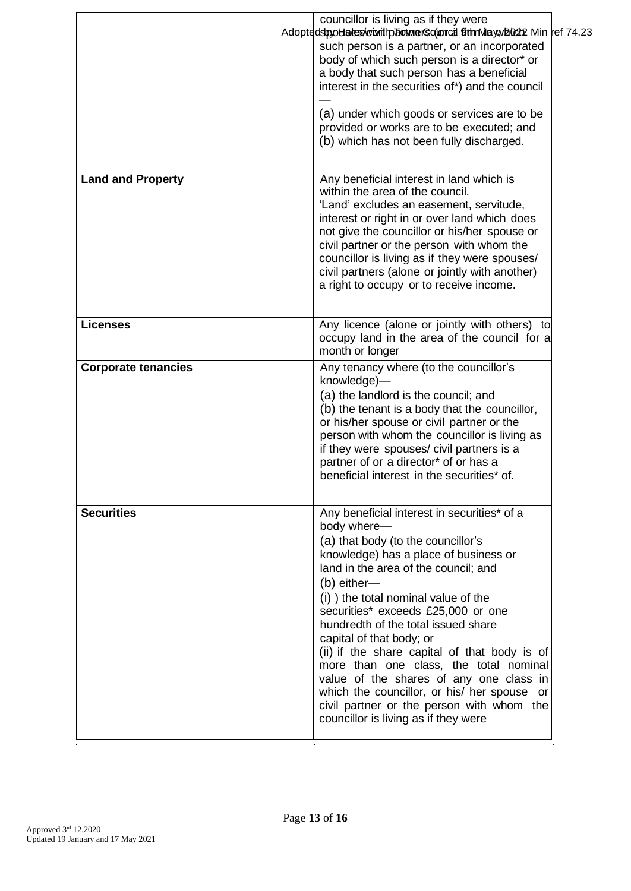|                            | councillor is living as if they were<br>Adoptedstpobles es voi with become resoluted that Mayward 22 Min ref 74.23<br>such person is a partner, or an incorporated<br>body of which such person is a director* or<br>a body that such person has a beneficial<br>interest in the securities of*) and the council<br>(a) under which goods or services are to be<br>provided or works are to be executed; and<br>(b) which has not been fully discharged.                                                                                                                                                                   |  |
|----------------------------|----------------------------------------------------------------------------------------------------------------------------------------------------------------------------------------------------------------------------------------------------------------------------------------------------------------------------------------------------------------------------------------------------------------------------------------------------------------------------------------------------------------------------------------------------------------------------------------------------------------------------|--|
| <b>Land and Property</b>   | Any beneficial interest in land which is<br>within the area of the council.<br>'Land' excludes an easement, servitude,<br>interest or right in or over land which does<br>not give the councillor or his/her spouse or<br>civil partner or the person with whom the<br>councillor is living as if they were spouses/<br>civil partners (alone or jointly with another)<br>a right to occupy or to receive income.                                                                                                                                                                                                          |  |
| <b>Licenses</b>            | Any licence (alone or jointly with others) to<br>occupy land in the area of the council for a<br>month or longer                                                                                                                                                                                                                                                                                                                                                                                                                                                                                                           |  |
| <b>Corporate tenancies</b> | Any tenancy where (to the councillor's<br>knowledge)-<br>(a) the landlord is the council; and<br>(b) the tenant is a body that the councillor,<br>or his/her spouse or civil partner or the<br>person with whom the councillor is living as<br>if they were spouses/ civil partners is a<br>partner of or a director* of or has a<br>beneficial interest in the securities* of.                                                                                                                                                                                                                                            |  |
| <b>Securities</b>          | Any beneficial interest in securities* of a<br>body where-<br>(a) that body (to the councillor's<br>knowledge) has a place of business or<br>land in the area of the council; and<br>(b) either-<br>(i) ) the total nominal value of the<br>securities* exceeds £25,000 or one<br>hundredth of the total issued share<br>capital of that body; or<br>(ii) if the share capital of that body is of<br>more than one class, the total nominal<br>value of the shares of any one class in<br>which the councillor, or his/ her spouse or<br>civil partner or the person with whom the<br>councillor is living as if they were |  |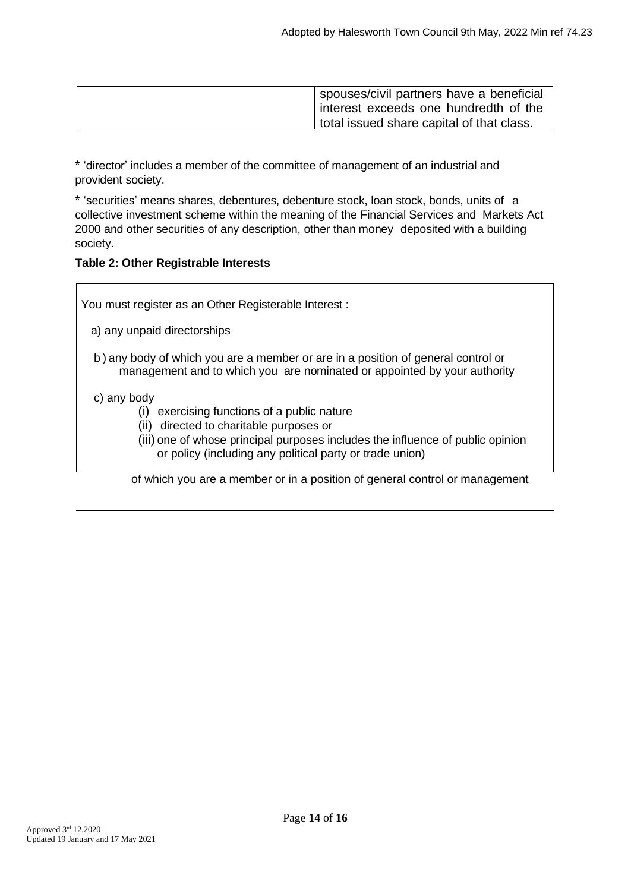|  | spouses/civil partners have a beneficial  |
|--|-------------------------------------------|
|  | interest exceeds one hundredth of the     |
|  | total issued share capital of that class. |

\* 'director' includes a member of the committee of management of an industrial and provident society.

\* 'securities' means shares, debentures, debenture stock, loan stock, bonds, units of a collective investment scheme within the meaning of the Financial Services and Markets Act 2000 and other securities of any description, other than money deposited with a building society.

# **Table 2: Other Registrable Interests**

You must register as an Other Registerable Interest :

- a) any unpaid directorships
- b ) any body of which you are a member or are in a position of general control or management and to which you are nominated or appointed by your authority

#### c) any body

- (i) exercising functions of a public nature
- (ii) directed to charitable purposes or
- (iii) one of whose principal purposes includes the influence of public opinion or policy (including any political party or trade union)

of which you are a member or in a position of general control or management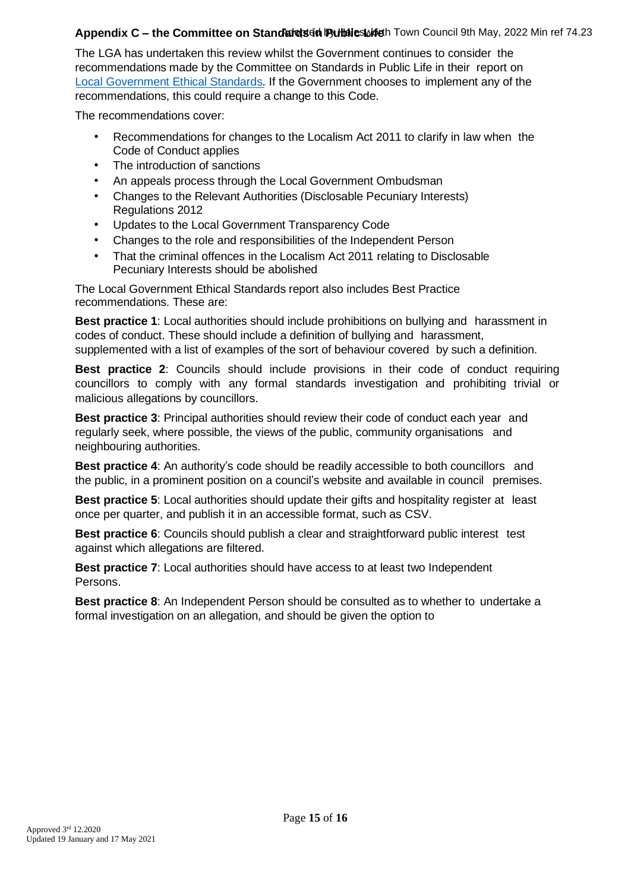# **Appendix C – the Committee on Standards in Pultalies Luideth Town Council 9th May, 2022 Min ref 74.23**

The LGA has undertaken this review whilst the Government continues to consider the recommendations made by the Committee on Standards in Public Life in their report on [Local Government Ethical Standards.](https://www.gov.uk/government/publications/local-government-ethical-standards-report) If the Government chooses to implement any of the recommendations, this could require a change to this Code.

The recommendations cover:

- Recommendations for changes to the Localism Act 2011 to clarify in law when the Code of Conduct applies
- The introduction of sanctions
- An appeals process through the Local Government Ombudsman
- Changes to the Relevant Authorities (Disclosable Pecuniary Interests) Regulations 2012
- Updates to the Local Government Transparency Code
- Changes to the role and responsibilities of the Independent Person
- That the criminal offences in the Localism Act 2011 relating to Disclosable Pecuniary Interests should be abolished

The Local Government Ethical Standards report also includes Best Practice recommendations. These are:

**Best practice 1**: Local authorities should include prohibitions on bullying and harassment in codes of conduct. These should include a definition of bullying and harassment, supplemented with a list of examples of the sort of behaviour covered by such a definition.

**Best practice 2**: Councils should include provisions in their code of conduct requiring councillors to comply with any formal standards investigation and prohibiting trivial or malicious allegations by councillors.

**Best practice 3**: Principal authorities should review their code of conduct each year and regularly seek, where possible, the views of the public, community organisations and neighbouring authorities.

**Best practice 4**: An authority's code should be readily accessible to both councillors and the public, in a prominent position on a council's website and available in council premises.

**Best practice 5**: Local authorities should update their gifts and hospitality register at least once per quarter, and publish it in an accessible format, such as CSV.

**Best practice 6**: Councils should publish a clear and straightforward public interest test against which allegations are filtered.

**Best practice 7**: Local authorities should have access to at least two Independent Persons.

**Best practice 8**: An Independent Person should be consulted as to whether to undertake a formal investigation on an allegation, and should be given the option to